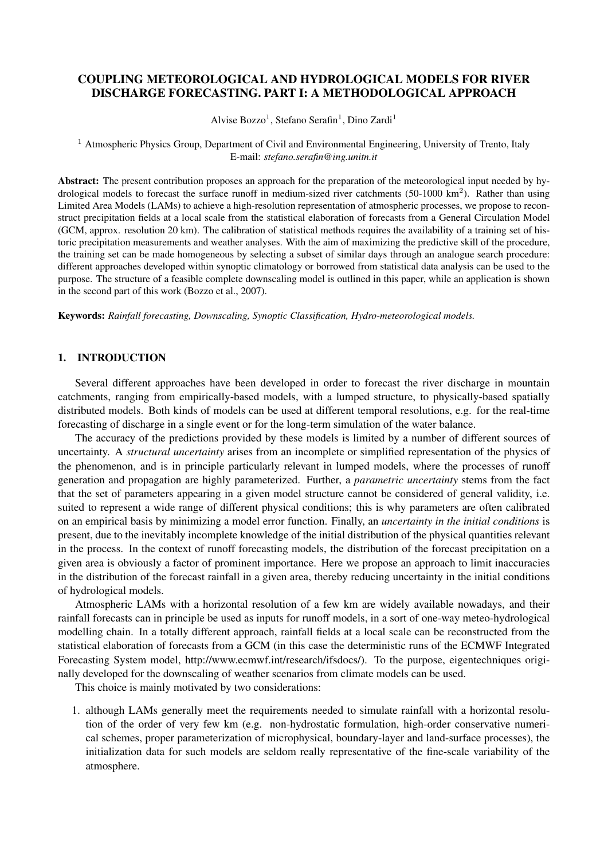# COUPLING METEOROLOGICAL AND HYDROLOGICAL MODELS FOR RIVER DISCHARGE FORECASTING. PART I: A METHODOLOGICAL APPROACH

Alvise Bozzo<sup>1</sup>, Stefano Serafin<sup>1</sup>, Dino Zardi<sup>1</sup>

<sup>1</sup> Atmospheric Physics Group, Department of Civil and Environmental Engineering, University of Trento, Italy E-mail: *stefano.serafin@ing.unitn.it*

Abstract: The present contribution proposes an approach for the preparation of the meteorological input needed by hydrological models to forecast the surface runoff in medium-sized river catchments (50-1000 km<sup>2</sup>). Rather than using Limited Area Models (LAMs) to achieve a high-resolution representation of atmospheric processes, we propose to reconstruct precipitation fields at a local scale from the statistical elaboration of forecasts from a General Circulation Model (GCM, approx. resolution 20 km). The calibration of statistical methods requires the availability of a training set of historic precipitation measurements and weather analyses. With the aim of maximizing the predictive skill of the procedure, the training set can be made homogeneous by selecting a subset of similar days through an analogue search procedure: different approaches developed within synoptic climatology or borrowed from statistical data analysis can be used to the purpose. The structure of a feasible complete downscaling model is outlined in this paper, while an application is shown in the second part of this work (Bozzo et al., 2007).

Keywords: *Rainfall forecasting, Downscaling, Synoptic Classification, Hydro-meteorological models.*

# 1. INTRODUCTION

Several different approaches have been developed in order to forecast the river discharge in mountain catchments, ranging from empirically-based models, with a lumped structure, to physically-based spatially distributed models. Both kinds of models can be used at different temporal resolutions, e.g. for the real-time forecasting of discharge in a single event or for the long-term simulation of the water balance.

The accuracy of the predictions provided by these models is limited by a number of different sources of uncertainty. A *structural uncertainty* arises from an incomplete or simplified representation of the physics of the phenomenon, and is in principle particularly relevant in lumped models, where the processes of runoff generation and propagation are highly parameterized. Further, a *parametric uncertainty* stems from the fact that the set of parameters appearing in a given model structure cannot be considered of general validity, i.e. suited to represent a wide range of different physical conditions; this is why parameters are often calibrated on an empirical basis by minimizing a model error function. Finally, an *uncertainty in the initial conditions* is present, due to the inevitably incomplete knowledge of the initial distribution of the physical quantities relevant in the process. In the context of runoff forecasting models, the distribution of the forecast precipitation on a given area is obviously a factor of prominent importance. Here we propose an approach to limit inaccuracies in the distribution of the forecast rainfall in a given area, thereby reducing uncertainty in the initial conditions of hydrological models.

Atmospheric LAMs with a horizontal resolution of a few km are widely available nowadays, and their rainfall forecasts can in principle be used as inputs for runoff models, in a sort of one-way meteo-hydrological modelling chain. In a totally different approach, rainfall fields at a local scale can be reconstructed from the statistical elaboration of forecasts from a GCM (in this case the deterministic runs of the ECMWF Integrated Forecasting System model, http://www.ecmwf.int/research/ifsdocs/). To the purpose, eigentechniques originally developed for the downscaling of weather scenarios from climate models can be used.

This choice is mainly motivated by two considerations:

1. although LAMs generally meet the requirements needed to simulate rainfall with a horizontal resolution of the order of very few km (e.g. non-hydrostatic formulation, high-order conservative numerical schemes, proper parameterization of microphysical, boundary-layer and land-surface processes), the initialization data for such models are seldom really representative of the fine-scale variability of the atmosphere.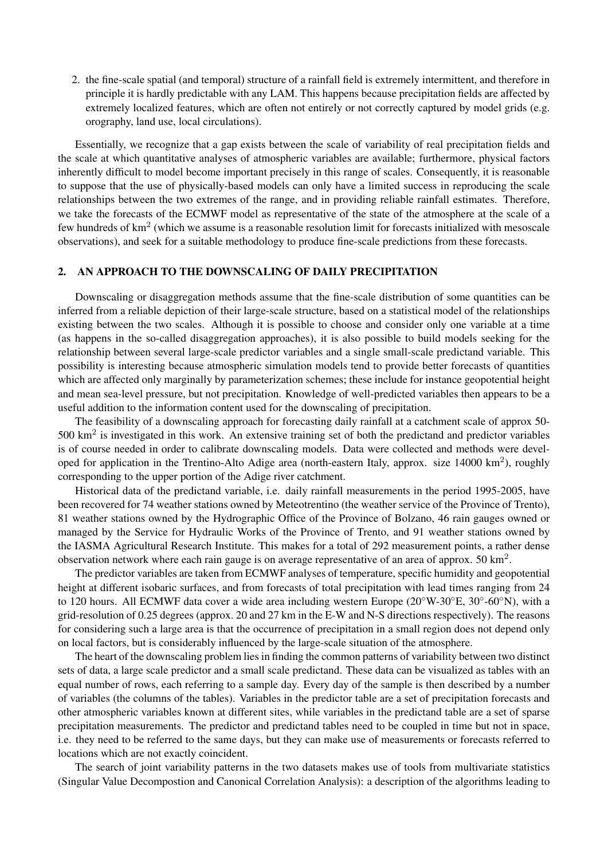2. the fine-scale spatial (and temporal) structure of a rainfall field is extremely intermittent, and therefore in principle it is hardly predictable with any LAM. This happens because precipitation fields are affected by extremely localized features, which are often not entirely or not correctly captured by model grids (e.g. orography, land use, local circulations).

Essentially, we recognize that a gap exists between the scale of variability of real precipitation fields and the scale at which quantitative analyses of atmospheric variables are available; furthermore, physical factors inherently difficult to model become important precisely in this range of scales. Consequently, it is reasonable to suppose that the use of physically-based models can only have a limited success in reproducing the scale relationships between the two extremes of the range, and in providing reliable rainfall estimates. Therefore, we take the forecasts of the ECMWF model as representative of the state of the atmosphere at the scale of a few hundreds of  $km^2$  (which we assume is a reasonable resolution limit for forecasts initialized with mesoscale observations), and seek for a suitable methodology to produce fine-scale predictions from these forecasts.

#### 2. AN APPROACH TO THE DOWNSCALING OF DAILY PRECIPITATION

Downscaling or disaggregation methods assume that the fine-scale distribution of some quantities can be inferred from a reliable depiction of their large-scale structure, based on a statistical model of the relationships existing between the two scales. Although it is possible to choose and consider only one variable at a time (as happens in the so-called disaggregation approaches), it is also possible to build models seeking for the relationship between several large-scale predictor variables and a single small-scale predictand variable. This possibility is interesting because atmospheric simulation models tend to provide better forecasts of quantities which are affected only marginally by parameterization schemes; these include for instance geopotential height and mean sea-level pressure, but not precipitation. Knowledge of well-predicted variables then appears to be a useful addition to the information content used for the downscaling of precipitation.

The feasibility of a downscaling approach for forecasting daily rainfall at a catchment scale of approx 50- 500  $\text{km}^2$  is investigated in this work. An extensive training set of both the predictand and predictor variables is of course needed in order to calibrate downscaling models. Data were collected and methods were developed for application in the Trentino-Alto Adige area (north-eastern Italy, approx. size 14000 km<sup>2</sup>), roughly corresponding to the upper portion of the Adige river catchment.

Historical data of the predictand variable, i.e. daily rainfall measurements in the period 1995-2005, have been recovered for 74 weather stations owned by Meteotrentino (the weather service of the Province of Trento), 81 weather stations owned by the Hydrographic Office of the Province of Bolzano, 46 rain gauges owned or managed by the Service for Hydraulic Works of the Province of Trento, and 91 weather stations owned by the IASMA Agricultural Research Institute. This makes for a total of 292 measurement points, a rather dense observation network where each rain gauge is on average representative of an area of approx.  $50 \text{ km}^2$ .

The predictor variables are taken from ECMWF analyses of temperature, specific humidity and geopotential height at different isobaric surfaces, and from forecasts of total precipitation with lead times ranging from 24 to 120 hours. All ECMWF data cover a wide area including western Europe (20°W-30°E, 30°-60°N), with a grid-resolution of 0.25 degrees (approx. 20 and 27 km in the E-W and N-S directions respectively). The reasons for considering such a large area is that the occurrence of precipitation in a small region does not depend only on local factors, but is considerably influenced by the large-scale situation of the atmosphere.

The heart of the downscaling problem lies in finding the common patterns of variability between two distinct sets of data, a large scale predictor and a small scale predictand. These data can be visualized as tables with an equal number of rows, each referring to a sample day. Every day of the sample is then described by a number of variables (the columns of the tables). Variables in the predictor table are a set of precipitation forecasts and other atmospheric variables known at different sites, while variables in the predictand table are a set of sparse precipitation measurements. The predictor and predictand tables need to be coupled in time but not in space, i.e. they need to be referred to the same days, but they can make use of measurements or forecasts referred to locations which are not exactly coincident.

The search of joint variability patterns in the two datasets makes use of tools from multivariate statistics (Singular Value Decompostion and Canonical Correlation Analysis): a description of the algorithms leading to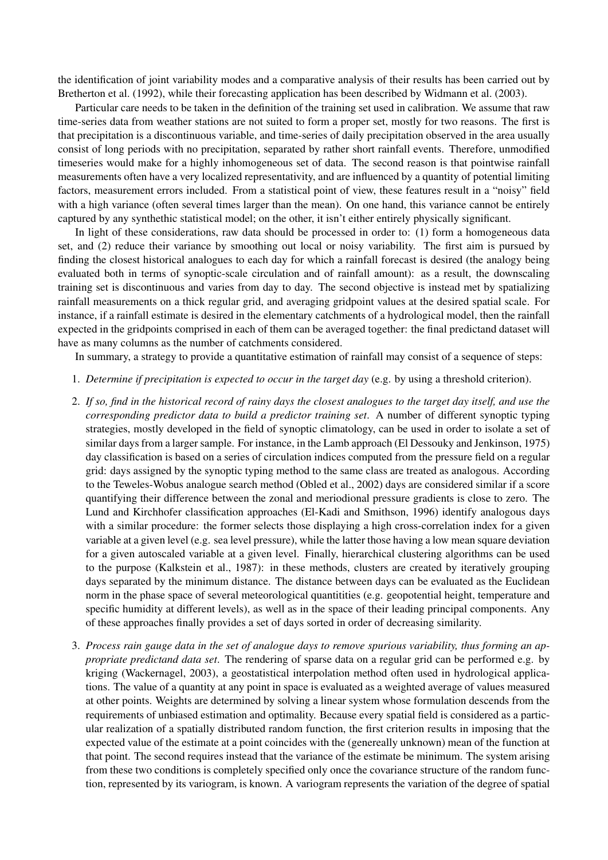the identification of joint variability modes and a comparative analysis of their results has been carried out by Bretherton et al. (1992), while their forecasting application has been described by Widmann et al. (2003).

Particular care needs to be taken in the definition of the training set used in calibration. We assume that raw time-series data from weather stations are not suited to form a proper set, mostly for two reasons. The first is that precipitation is a discontinuous variable, and time-series of daily precipitation observed in the area usually consist of long periods with no precipitation, separated by rather short rainfall events. Therefore, unmodified timeseries would make for a highly inhomogeneous set of data. The second reason is that pointwise rainfall measurements often have a very localized representativity, and are influenced by a quantity of potential limiting factors, measurement errors included. From a statistical point of view, these features result in a "noisy" field with a high variance (often several times larger than the mean). On one hand, this variance cannot be entirely captured by any synthethic statistical model; on the other, it isn't either entirely physically significant.

In light of these considerations, raw data should be processed in order to: (1) form a homogeneous data set, and (2) reduce their variance by smoothing out local or noisy variability. The first aim is pursued by finding the closest historical analogues to each day for which a rainfall forecast is desired (the analogy being evaluated both in terms of synoptic-scale circulation and of rainfall amount): as a result, the downscaling training set is discontinuous and varies from day to day. The second objective is instead met by spatializing rainfall measurements on a thick regular grid, and averaging gridpoint values at the desired spatial scale. For instance, if a rainfall estimate is desired in the elementary catchments of a hydrological model, then the rainfall expected in the gridpoints comprised in each of them can be averaged together: the final predictand dataset will have as many columns as the number of catchments considered.

In summary, a strategy to provide a quantitative estimation of rainfall may consist of a sequence of steps:

- 1. *Determine if precipitation is expected to occur in the target day* (e.g. by using a threshold criterion).
- 2. *If so, find in the historical record of rainy days the closest analogues to the target day itself, and use the corresponding predictor data to build a predictor training set*. A number of different synoptic typing strategies, mostly developed in the field of synoptic climatology, can be used in order to isolate a set of similar days from a larger sample. For instance, in the Lamb approach (El Dessouky and Jenkinson, 1975) day classification is based on a series of circulation indices computed from the pressure field on a regular grid: days assigned by the synoptic typing method to the same class are treated as analogous. According to the Teweles-Wobus analogue search method (Obled et al., 2002) days are considered similar if a score quantifying their difference between the zonal and meriodional pressure gradients is close to zero. The Lund and Kirchhofer classification approaches (El-Kadi and Smithson, 1996) identify analogous days with a similar procedure: the former selects those displaying a high cross-correlation index for a given variable at a given level (e.g. sea level pressure), while the latter those having a low mean square deviation for a given autoscaled variable at a given level. Finally, hierarchical clustering algorithms can be used to the purpose (Kalkstein et al., 1987): in these methods, clusters are created by iteratively grouping days separated by the minimum distance. The distance between days can be evaluated as the Euclidean norm in the phase space of several meteorological quantitities (e.g. geopotential height, temperature and specific humidity at different levels), as well as in the space of their leading principal components. Any of these approaches finally provides a set of days sorted in order of decreasing similarity.
- 3. *Process rain gauge data in the set of analogue days to remove spurious variability, thus forming an appropriate predictand data set*. The rendering of sparse data on a regular grid can be performed e.g. by kriging (Wackernagel, 2003), a geostatistical interpolation method often used in hydrological applications. The value of a quantity at any point in space is evaluated as a weighted average of values measured at other points. Weights are determined by solving a linear system whose formulation descends from the requirements of unbiased estimation and optimality. Because every spatial field is considered as a particular realization of a spatially distributed random function, the first criterion results in imposing that the expected value of the estimate at a point coincides with the (genereally unknown) mean of the function at that point. The second requires instead that the variance of the estimate be minimum. The system arising from these two conditions is completely specified only once the covariance structure of the random function, represented by its variogram, is known. A variogram represents the variation of the degree of spatial